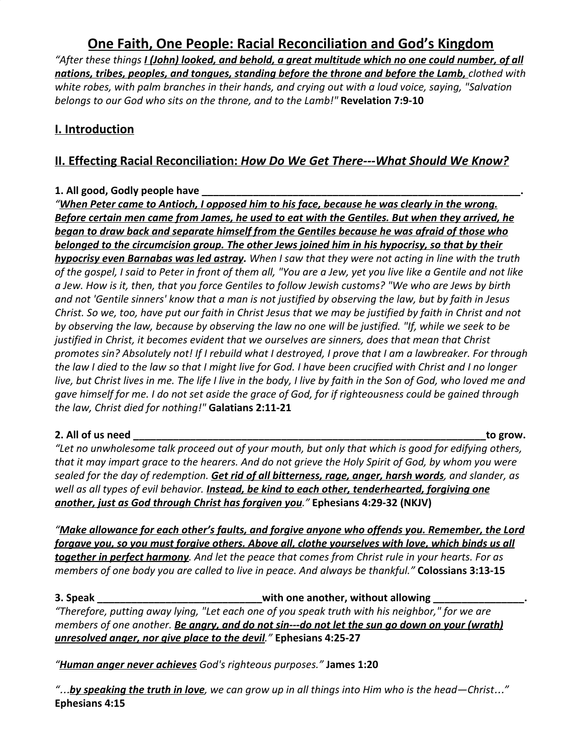# **One Faith, One People: Racial Reconciliation and God's Kingdom**

*"After these things I (John) looked, and behold, a great multitude which no one could number, of all nations, tribes, peoples, and tongues, standing before the throne and before the Lamb, clothed with white robes, with palm branches in their hands, and crying out with a loud voice, saying, "Salvation belongs to our God who sits on the throne, and to the Lamb!"* **Revelation 7:9-10**

## **I. Introduction**

# **II. Effecting Racial Reconciliation:** *How Do We Get There---What Should We Know?*

### **1. All good, Godly people have \_\_\_\_\_\_\_\_\_\_\_\_\_\_\_\_\_\_\_\_\_\_\_\_\_\_\_\_\_\_\_\_\_\_\_\_\_\_\_\_\_\_\_\_\_\_\_\_\_\_\_\_\_\_\_\_.**

*"When Peter came to Antioch, I opposed him to his face, because he was clearly in the wrong. Before certain men came from James, he used to eat with the Gentiles. But when they arrived, he began to draw back and separate himself from the Gentiles because he was afraid of those who belonged to the circumcision group. The other Jews joined him in his hypocrisy, so that by their hypocrisy even Barnabas was led astray. When I saw that they were not acting in line with the truth of the gospel, I said to Peter in front of them all, "You are a Jew, yet you live like a Gentile and not like a Jew. How is it, then, that you force Gentiles to follow Jewish customs? "We who are Jews by birth and not 'Gentile sinners' know that a man is not justified by observing the law, but by faith in Jesus Christ. So we, too, have put our faith in Christ Jesus that we may be justified by faith in Christ and not by observing the law, because by observing the law no one will be justified. "If, while we seek to be justified in Christ, it becomes evident that we ourselves are sinners, does that mean that Christ promotes sin? Absolutely not! If I rebuild what I destroyed, I prove that I am a lawbreaker. For through the law I died to the law so that I might live for God. I have been crucified with Christ and I no longer live, but Christ lives in me. The life I live in the body, I live by faith in the Son of God, who loved me and gave himself for me. I do not set aside the grace of God, for if righteousness could be gained through the law, Christ died for nothing!"* **Galatians 2:11-21**

#### **2. All of us need \_\_\_\_\_\_\_\_\_\_\_\_\_\_\_\_\_\_\_\_\_\_\_\_\_\_\_\_\_\_\_\_\_\_\_\_\_\_\_\_\_\_\_\_\_\_\_\_\_\_\_\_\_\_\_\_\_\_\_\_\_\_to grow.**

*"Let no unwholesome talk proceed out of your mouth, but only that which is good for edifying others, that it may impart grace to the hearers. And do not grieve the Holy Spirit of God, by whom you were sealed for the day of redemption. Get rid of all bitterness, rage, anger, harsh words, and slander, as well as all types of evil behavior. Instead, be kind to each other, tenderhearted, forgiving one another, just as God through Christ has forgiven you."* **Ephesians 4:29-32 (NKJV)**

*"Make allowance for each other's faults, and forgive anyone who offends you. Remember, the Lord forgave you, so you must forgive others. Above all, clothe yourselves with love, which binds us all together in perfect harmony. And let the peace that comes from Christ rule in your hearts. For as members of one body you are called to live in peace. And always be thankful."* **Colossians 3:13-15**

### **3. Speak \_\_\_\_\_\_\_\_\_\_\_\_\_\_\_\_\_\_\_\_\_\_\_\_\_\_\_\_\_with one another, without allowing \_\_\_\_\_\_\_\_\_\_\_\_\_\_\_\_.** *"Therefore, putting away lying, "Let each one of you speak truth with his neighbor," for we are members of one another. Be angry, and do not sin---do not let the sun go down on your (wrath) unresolved anger, nor give place to the devil."* **Ephesians 4:25-27**

*"Human anger never achieves God's righteous purposes."* **James 1:20**

*"*…*by speaking the truth in love, we can grow up in all things into Him who is the head—Christ*…*"* **Ephesians 4:15**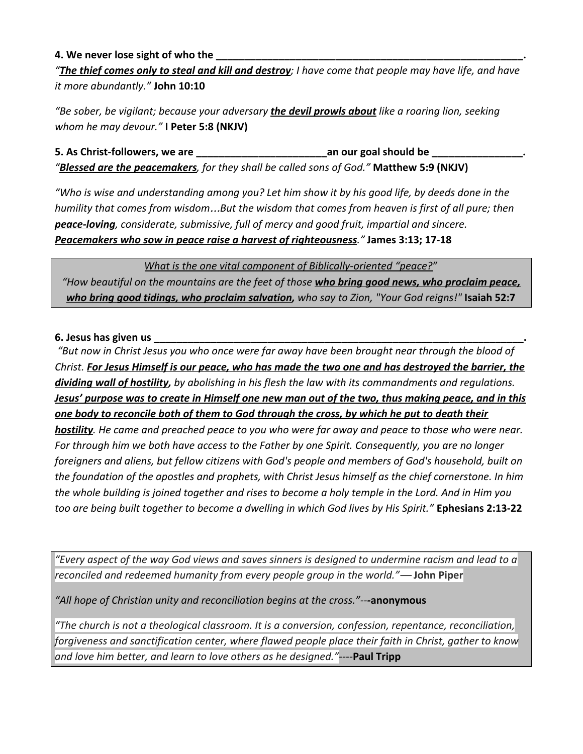#### 4. We never lose sight of who the

*"The thief comes only to steal and kill and destroy; I have come that people may have life, and have it more abundantly."* **John 10:10**

*"Be sober, be vigilant; because your adversary the devil prowls about like a roaring lion, seeking whom he may devour."* **I Peter 5:8 (NKJV)**

**5. As Christ-followers, we are \_\_\_\_\_\_\_\_\_\_\_\_\_\_\_\_\_\_\_\_\_\_\_an our goal should be \_\_\_\_\_\_\_\_\_\_\_\_\_\_\_\_.** *"Blessed are the peacemakers, for they shall be called sons of God."* **Matthew 5:9 (NKJV)**

*"Who is wise and understanding among you? Let him show it by his good life, by deeds done in the humility that comes from wisdom*…*But the wisdom that comes from heaven is first of all pure; then peace-loving, considerate, submissive, full of mercy and good fruit, impartial and sincere. Peacemakers who sow in peace raise a harvest of righteousness."* **James 3:13; 17-18**

*What is the one vital component of Biblically-oriented "peace?" "How beautiful on the mountains are the feet of those who bring good news, who proclaim peace, who bring good tidings, who proclaim salvation, who say to Zion, "Your God reigns!"* **Isaiah 52:7**

#### **6. Jesus has given us**

 *"But now in Christ Jesus you who once were far away have been brought near through the blood of Christ. For Jesus Himself is our peace, who has made the two one and has destroyed the barrier, the dividing wall of hostility, by abolishing in his flesh the law with its commandments and regulations. Jesus' purpose was to create in Himself one new man out of the two, thus making peace, and in this one body to reconcile both of them to God through the cross, by which he put to death their hostility. He came and preached peace to you who were far away and peace to those who were near. For through him we both have access to the Father by one Spirit. Consequently, you are no longer foreigners and aliens, but fellow citizens with God's people and members of God's household, built on the foundation of the apostles and prophets, with Christ Jesus himself as the chief cornerstone. In him the whole building is joined together and rises to become a holy temple in the Lord. And in Him you too are being built together to become a dwelling in which God lives by His Spirit."* **Ephesians 2:13-22**

*"Every aspect of the way God views and saves sinners is designed to undermine racism and lead to a reconciled and redeemed humanity from every people group in the world."*― **John Piper**

*"All hope of Christian unity and reconciliation begins at the cross."---***anonymous**

*"The church is not a theological classroom. It is a conversion, confession, repentance, reconciliation, forgiveness and sanctification center, where flawed people place their faith in Christ, gather to know and love him better, and learn to love others as he designed."----***Paul Tripp**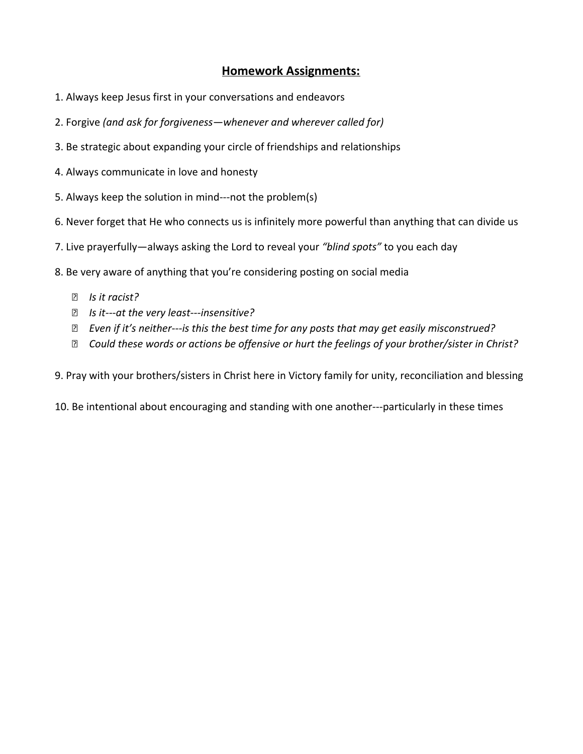## **Homework Assignments:**

- 1. Always keep Jesus first in your conversations and endeavors
- 2. Forgive *(and ask for forgiveness—whenever and wherever called for)*
- 3. Be strategic about expanding your circle of friendships and relationships
- 4. Always communicate in love and honesty
- 5. Always keep the solution in mind---not the problem(s)
- 6. Never forget that He who connects us is infinitely more powerful than anything that can divide us
- 7. Live prayerfully—always asking the Lord to reveal your *"blind spots"* to you each day
- 8. Be very aware of anything that you're considering posting on social media
	- *Is it racist?*
	- *Is it---at the very least---insensitive?*
	- *Even if it's neither---is this the best time for any posts that may get easily misconstrued?*
	- *Could these words or actions be offensive or hurt the feelings of your brother/sister in Christ?*
- 9. Pray with your brothers/sisters in Christ here in Victory family for unity, reconciliation and blessing
- 10. Be intentional about encouraging and standing with one another---particularly in these times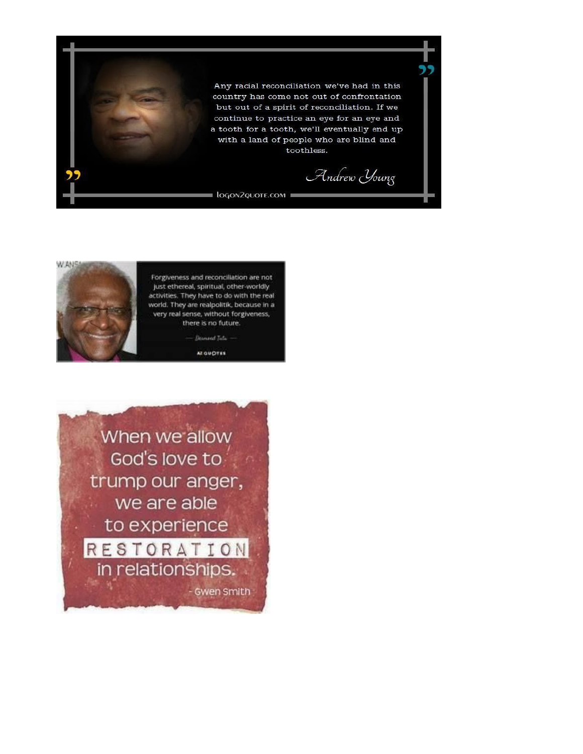Any racial reconciliation we've had in this country has come not out of confrontation but out of a spirit of reconciliation. If we continue to practice an eye for an eye and a tooth for a tooth, we'll eventually end up with a land of people who are blind and toothless.

Andrew Young

logon2quote.com =



"

Forgiveness and reconciliation are not just ethereal, spiritual, other-worldly activities. They have to do with the real world. They are realpolitik, because in a very real sense, without forgiveness, there is no future.

Deserved Tata -

AZ GUOTES

When we allow God's love to trump our anger, we are able to experience RESTORATION in relationships.

- Gwen Smith